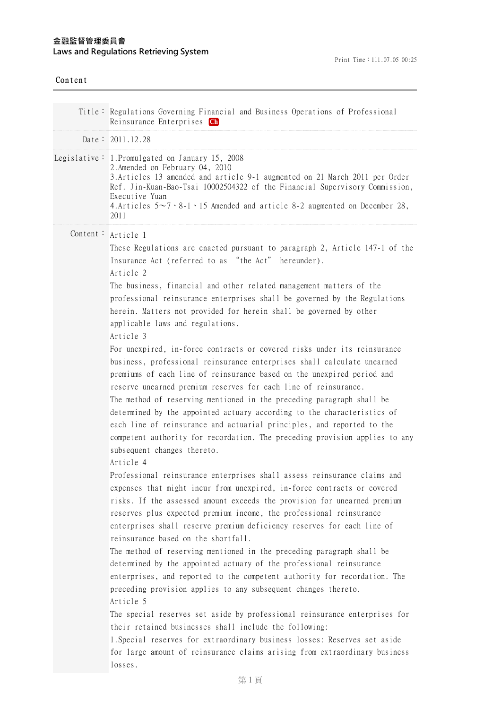| Content |                                                                                                                                                                                                                                                                                                                                                                                                                                                                                                                                                                                                                                                                                                                                                                                                                                                                                                                                                                                                                                                                                                                                                                                                                                                                                                                                                                                                                                                                                                                                                                                                                                                                                                                                                                       |
|---------|-----------------------------------------------------------------------------------------------------------------------------------------------------------------------------------------------------------------------------------------------------------------------------------------------------------------------------------------------------------------------------------------------------------------------------------------------------------------------------------------------------------------------------------------------------------------------------------------------------------------------------------------------------------------------------------------------------------------------------------------------------------------------------------------------------------------------------------------------------------------------------------------------------------------------------------------------------------------------------------------------------------------------------------------------------------------------------------------------------------------------------------------------------------------------------------------------------------------------------------------------------------------------------------------------------------------------------------------------------------------------------------------------------------------------------------------------------------------------------------------------------------------------------------------------------------------------------------------------------------------------------------------------------------------------------------------------------------------------------------------------------------------------|
|         | Title: Regulations Governing Financial and Business Operations of Professional<br>Reinsurance Enterprises Ch                                                                                                                                                                                                                                                                                                                                                                                                                                                                                                                                                                                                                                                                                                                                                                                                                                                                                                                                                                                                                                                                                                                                                                                                                                                                                                                                                                                                                                                                                                                                                                                                                                                          |
|         | Date: 2011.12.28                                                                                                                                                                                                                                                                                                                                                                                                                                                                                                                                                                                                                                                                                                                                                                                                                                                                                                                                                                                                                                                                                                                                                                                                                                                                                                                                                                                                                                                                                                                                                                                                                                                                                                                                                      |
|         | Legislative: 1. Promulgated on January 15, 2008<br>2. Amended on February 04, 2010<br>3. Articles 13 amended and article 9-1 augmented on 21 March 2011 per Order<br>Ref. Jin-Kuan-Bao-Tsai 10002504322 of the Financial Supervisory Commission,<br>Executive Yuan<br>4. Articles $5\sim7 \cdot 8-1 \cdot 15$ Amended and article 8-2 augmented on December 28,<br>2011                                                                                                                                                                                                                                                                                                                                                                                                                                                                                                                                                                                                                                                                                                                                                                                                                                                                                                                                                                                                                                                                                                                                                                                                                                                                                                                                                                                               |
|         | Content: Article 1<br>These Regulations are enacted pursuant to paragraph 2, Article 147-1 of the<br>Insurance Act (referred to as "the Act" hereunder).<br>Article 2<br>The business, financial and other related management matters of the<br>professional reinsurance enterprises shall be governed by the Regulations<br>herein. Matters not provided for herein shall be governed by other<br>applicable laws and regulations.<br>Article 3<br>For unexpired, in-force contracts or covered risks under its reinsurance<br>business, professional reinsurance enterprises shall calculate unearned<br>premiums of each line of reinsurance based on the unexpired period and<br>reserve unearned premium reserves for each line of reinsurance.<br>The method of reserving mentioned in the preceding paragraph shall be<br>determined by the appointed actuary according to the characteristics of<br>each line of reinsurance and actuarial principles, and reported to the<br>competent authority for recordation. The preceding provision applies to any<br>subsequent changes thereto.<br>Article 4<br>Professional reinsurance enterprises shall assess reinsurance claims and<br>expenses that might incur from unexpired, in-force contracts or covered<br>risks. If the assessed amount exceeds the provision for unearned premium<br>reserves plus expected premium income, the professional reinsurance<br>enterprises shall reserve premium deficiency reserves for each line of<br>reinsurance based on the shortfall.<br>The method of reserving mentioned in the preceding paragraph shall be<br>determined by the appointed actuary of the professional reinsurance<br>enterprises, and reported to the competent authority for recordation. The |
|         | preceding provision applies to any subsequent changes thereto.<br>Article 5<br>The special reserves set aside by professional reinsurance enterprises for<br>their retained businesses shall include the following:<br>1. Special reserves for extraordinary business losses: Reserves set aside<br>for large amount of reinsurance claims arising from extraordinary business<br>losses.                                                                                                                                                                                                                                                                                                                                                                                                                                                                                                                                                                                                                                                                                                                                                                                                                                                                                                                                                                                                                                                                                                                                                                                                                                                                                                                                                                             |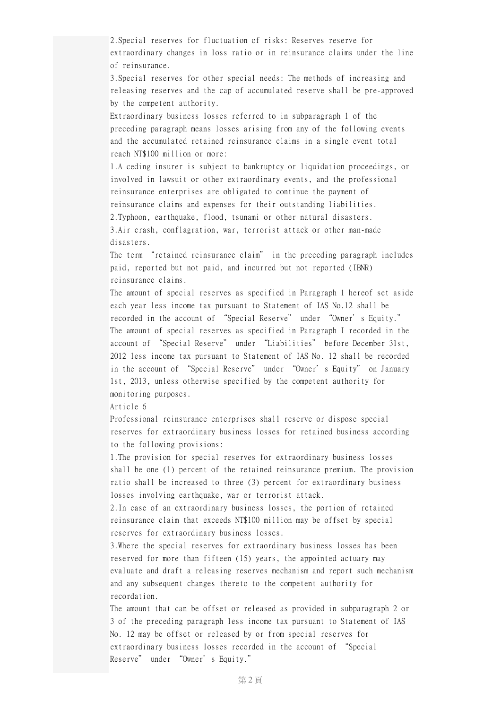2.Special reserves for fluctuation of risks: Reserves reserve for extraordinary changes in loss ratio or in reinsurance claims under the line of reinsurance.

3.Special reserves for other special needs: The methods of increasing and releasing reserves and the cap of accumulated reserve shall be pre-approved by the competent authority.

Extraordinary business losses referred to in subparagraph 1 of the preceding paragraph means losses arising from any of the following events and the accumulated retained reinsurance claims in a single event total reach NT\$100 million or more:

1.A ceding insurer is subject to bankruptcy or liquidation proceedings, or involved in lawsuit or other extraordinary events, and the professional reinsurance enterprises are obligated to continue the payment of reinsurance claims and expenses for their outstanding liabilities. 2.Typhoon, earthquake, flood, tsunami or other natural disasters. 3.Air crash, conflagration, war, terrorist attack or other man-made disasters.

The term "retained reinsurance claim" in the preceding paragraph includes paid, reported but not paid, and incurred but not reported (IBNR) reinsurance claims.

The amount of special reserves as specified in Paragraph 1 hereof set aside each year less income tax pursuant to Statement of IAS No.12 shall be recorded in the account of "Special Reserve" under "Owner's Equity." The amount of special reserves as specified in Paragraph I recorded in the account of "Special Reserve" under "Liabilities" before December 31st, 2012 less income tax pursuant to Statement of IAS No. 12 shall be recorded in the account of "Special Reserve" under "Owner's Equity" on January 1st, 2013, unless otherwise specified by the competent authority for monitoring purposes.

Article 6

Professional reinsurance enterprises shall reserve or dispose special reserves for extraordinary business losses for retained business according to the following provisions:

1.The provision for special reserves for extraordinary business losses shall be one (1) percent of the retained reinsurance premium. The provision ratio shall be increased to three (3) percent for extraordinary business losses involving earthquake, war or terrorist attack.

2.In case of an extraordinary business losses, the portion of retained reinsurance claim that exceeds NT\$100 million may be offset by special reserves for extraordinary business losses.

3.Where the special reserves for extraordinary business losses has been reserved for more than fifteen (15) years, the appointed actuary may evaluate and draft a releasing reserves mechanism and report such mechanism and any subsequent changes thereto to the competent authority for recordation.

The amount that can be offset or released as provided in subparagraph 2 or 3 of the preceding paragraph less income tax pursuant to Statement of IAS No. 12 may be offset or released by or from special reserves for extraordinary business losses recorded in the account of "Special Reserve" under "Owner's Equity."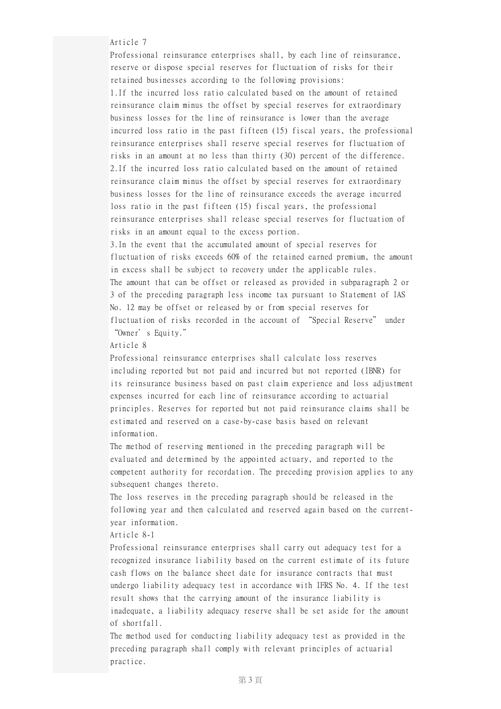Article 7

Professional reinsurance enterprises shall, by each line of reinsurance, reserve or dispose special reserves for fluctuation of risks for their retained businesses according to the following provisions: 1.If the incurred loss ratio calculated based on the amount of retained reinsurance claim minus the offset by special reserves for extraordinary business losses for the line of reinsurance is lower than the average incurred loss ratio in the past fifteen (15) fiscal years, the professional reinsurance enterprises shall reserve special reserves for fluctuation of risks in an amount at no less than thirty (30) percent of the difference. 2.If the incurred loss ratio calculated based on the amount of retained reinsurance claim minus the offset by special reserves for extraordinary business losses for the line of reinsurance exceeds the average incurred loss ratio in the past fifteen (15) fiscal years, the professional reinsurance enterprises shall release special reserves for fluctuation of risks in an amount equal to the excess portion.

3.In the event that the accumulated amount of special reserves for fluctuation of risks exceeds 60% of the retained earned premium, the amount in excess shall be subject to recovery under the applicable rules. The amount that can be offset or released as provided in subparagraph 2 or 3 of the preceding paragraph less income tax pursuant to Statement of IAS No. 12 may be offset or released by or from special reserves for fluctuation of risks recorded in the account of "Special Reserve" under "Owner's Equity."

Article 8

Professional reinsurance enterprises shall calculate loss reserves including reported but not paid and incurred but not reported (IBNR) for its reinsurance business based on past claim experience and loss adjustment expenses incurred for each line of reinsurance according to actuarial principles. Reserves for reported but not paid reinsurance claims shall be estimated and reserved on a case-by-case basis based on relevant information.

The method of reserving mentioned in the preceding paragraph will be evaluated and determined by the appointed actuary, and reported to the competent authority for recordation. The preceding provision applies to any subsequent changes thereto.

The loss reserves in the preceding paragraph should be released in the following year and then calculated and reserved again based on the currentyear information.

Article 8-1

Professional reinsurance enterprises shall carry out adequacy test for a recognized insurance liability based on the current estimate of its future cash flows on the balance sheet date for insurance contracts that must undergo liability adequacy test in accordance with IFRS No. 4. If the test result shows that the carrying amount of the insurance liability is inadequate, a liability adequacy reserve shall be set aside for the amount of shortfall.

The method used for conducting liability adequacy test as provided in the preceding paragraph shall comply with relevant principles of actuarial practice.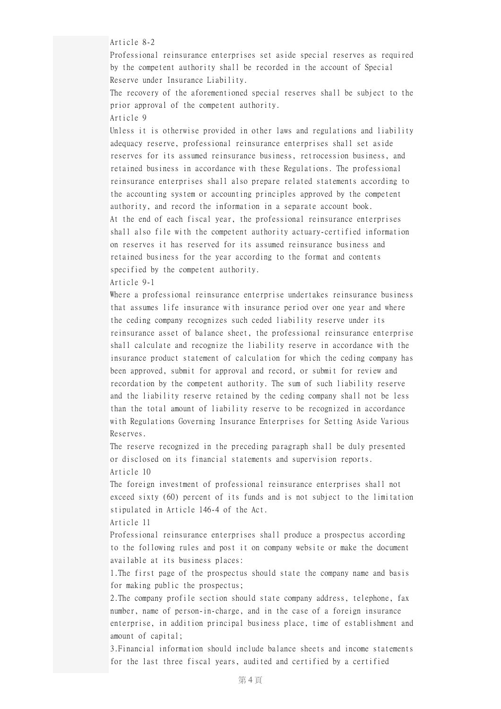Article 8-2

Professional reinsurance enterprises set aside special reserves as required by the competent authority shall be recorded in the account of Special Reserve under Insurance Liability.

The recovery of the aforementioned special reserves shall be subject to the prior approval of the competent authority. Article 9

Unless it is otherwise provided in other laws and regulations and liability adequacy reserve, professional reinsurance enterprises shall set aside reserves for its assumed reinsurance business, retrocession business, and retained business in accordance with these Regulations. The professional reinsurance enterprises shall also prepare related statements according to the accounting system or accounting principles approved by the competent authority, and record the information in a separate account book. At the end of each fiscal year, the professional reinsurance enterprises shall also file with the competent authority actuary-certified information on reserves it has reserved for its assumed reinsurance business and retained business for the year according to the format and contents specified by the competent authority.

Article 9-1

Where a professional reinsurance enterprise undertakes reinsurance business that assumes life insurance with insurance period over one year and where the ceding company recognizes such ceded liability reserve under its reinsurance asset of balance sheet, the professional reinsurance enterprise shall calculate and recognize the liability reserve in accordance with the insurance product statement of calculation for which the ceding company has been approved, submit for approval and record, or submit for review and recordation by the competent authority. The sum of such liability reserve and the liability reserve retained by the ceding company shall not be less than the total amount of liability reserve to be recognized in accordance with Regulations Governing Insurance Enterprises for Setting Aside Various Reserves.

The reserve recognized in the preceding paragraph shall be duly presented or disclosed on its financial statements and supervision reports. Article 10

The foreign investment of professional reinsurance enterprises shall not exceed sixty (60) percent of its funds and is not subject to the limitation stipulated in Article 146-4 of the Act.

Article 11

Professional reinsurance enterprises shall produce a prospectus according to the following rules and post it on company website or make the document available at its business places:

1.The first page of the prospectus should state the company name and basis for making public the prospectus;

2.The company profile section should state company address, telephone, fax number, name of person-in-charge, and in the case of a foreign insurance enterprise, in addition principal business place, time of establishment and amount of capital;

3.Financial information should include balance sheets and income statements for the last three fiscal years, audited and certified by a certified